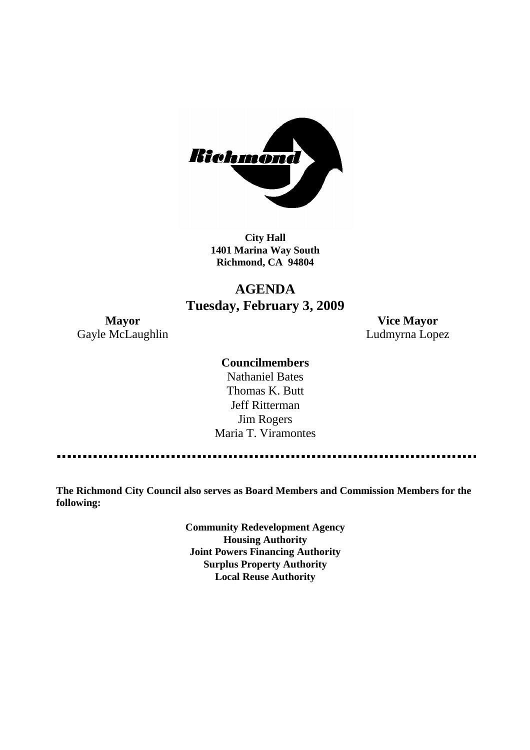

**City Hall 1401 Marina Way South Richmond, CA 94804**

## **AGENDA Tuesday, February 3, 2009**

**Mayor Vice Mayor** Gayle McLaughlin **Ludmyrna Lopez** 

#### **Councilmembers**

Nathaniel Bates Thomas K. Butt Jeff Ritterman Jim Rogers Maria T. Viramontes

**The Richmond City Council also serves as Board Members and Commission Members for the following:**

> **Community Redevelopment Agency Housing Authority Joint Powers Financing Authority Surplus Property Authority Local Reuse Authority**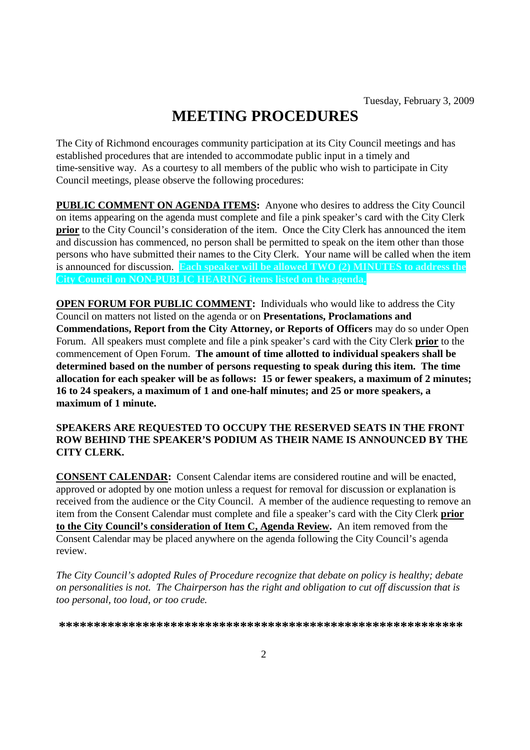# **MEETING PROCEDURES**

The City of Richmond encourages community participation at its City Council meetings and has established procedures that are intended to accommodate public input in a timely and time-sensitive way. As a courtesy to all members of the public who wish to participate in City Council meetings, please observe the following procedures:

**PUBLIC COMMENT ON AGENDA ITEMS:** Anyone who desires to address the City Council on items appearing on the agenda must complete and file a pink speaker's card with the City Clerk **prior** to the City Council's consideration of the item. Once the City Clerk has announced the item and discussion has commenced, no person shall be permitted to speak on the item other than those persons who have submitted their names to the City Clerk. Your name will be called when the item is announced for discussion. **Each speaker will be allowed TWO (2) MINUTES to address the City Council on NON-PUBLIC HEARING items listed on the agenda.**

**OPEN FORUM FOR PUBLIC COMMENT:** Individuals who would like to address the City Council on matters not listed on the agenda or on **Presentations, Proclamations and Commendations, Report from the City Attorney, or Reports of Officers** may do so under Open Forum. All speakers must complete and file a pink speaker's card with the City Clerk **prior** to the commencement of Open Forum. **The amount of time allotted to individual speakers shall be determined based on the number of persons requesting to speak during this item. The time allocation for each speaker will be as follows: 15 or fewer speakers, a maximum of 2 minutes; 16 to 24 speakers, a maximum of 1 and one-half minutes; and 25 or more speakers, a maximum of 1 minute.**

#### **SPEAKERS ARE REQUESTED TO OCCUPY THE RESERVED SEATS IN THE FRONT ROW BEHIND THE SPEAKER'S PODIUM AS THEIR NAME IS ANNOUNCED BY THE CITY CLERK.**

**CONSENT CALENDAR:** Consent Calendar items are considered routine and will be enacted, approved or adopted by one motion unless a request for removal for discussion or explanation is received from the audience or the City Council. A member of the audience requesting to remove an item from the Consent Calendar must complete and file a speaker's card with the City Clerk **prior to the City Council's consideration of Item C, Agenda Review.** An item removed from the Consent Calendar may be placed anywhere on the agenda following the City Council's agenda review.

*The City Council's adopted Rules of Procedure recognize that debate on policy is healthy; debate on personalities is not. The Chairperson has the right and obligation to cut off discussion that is too personal, too loud, or too crude.*

**\*\*\*\*\*\*\*\*\*\*\*\*\*\*\*\*\*\*\*\*\*\*\*\*\*\*\*\*\*\*\*\*\*\*\*\*\*\*\*\*\*\*\*\*\*\*\*\*\*\*\*\*\*\*\*\*\*\***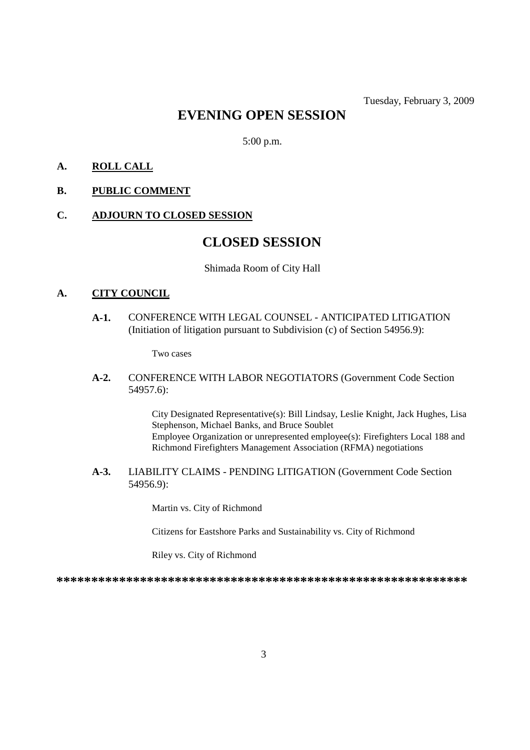### **EVENING OPEN SESSION**

5:00 p.m.

#### **A. ROLL CALL**

**B. PUBLIC COMMENT**

#### **C. ADJOURN TO CLOSED SESSION**

### **CLOSED SESSION**

#### Shimada Room of City Hall

#### **A. CITY COUNCIL**

**A-1.** CONFERENCE WITH LEGAL COUNSEL - ANTICIPATED LITIGATION (Initiation of litigation pursuant to Subdivision (c) of Section 54956.9):

Two cases

**A-2.** CONFERENCE WITH LABOR NEGOTIATORS (Government Code Section 54957.6):

> City Designated Representative(s): Bill Lindsay, Leslie Knight, Jack Hughes, Lisa Stephenson, Michael Banks, and Bruce Soublet Employee Organization or unrepresented employee(s): Firefighters Local 188 and Richmond Firefighters Management Association (RFMA) negotiations

**A-3.** LIABILITY CLAIMS - PENDING LITIGATION (Government Code Section 54956.9):

Martin vs. City of Richmond

Citizens for Eastshore Parks and Sustainability vs. City of Richmond

Riley vs. City of Richmond

**\*\*\*\*\*\*\*\*\*\*\*\*\*\*\*\*\*\*\*\*\*\*\*\*\*\*\*\*\*\*\*\*\*\*\*\*\*\*\*\*\*\*\*\*\*\*\*\*\*\*\*\*\*\*\*\*\*\*\***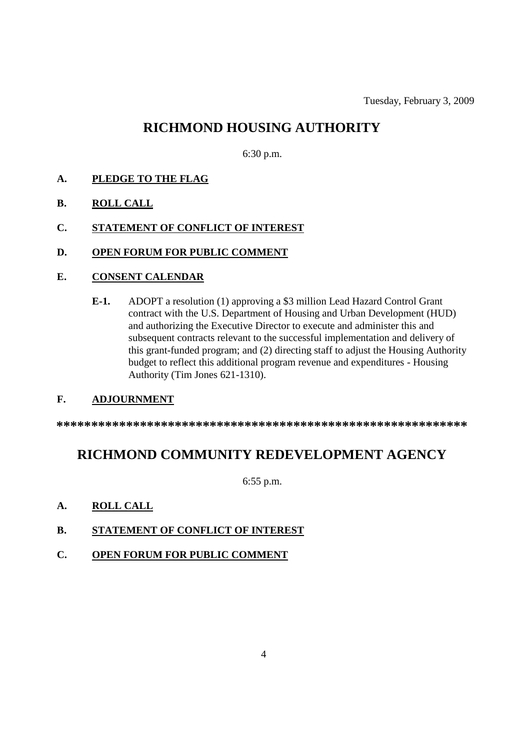### **RICHMOND HOUSING AUTHORITY**

6:30 p.m.

- **A. PLEDGE TO THE FLAG**
- **B. ROLL CALL**
- **C. STATEMENT OF CONFLICT OF INTEREST**
- **D. OPEN FORUM FOR PUBLIC COMMENT**
- **E. CONSENT CALENDAR**
	- **E-1.** ADOPT a resolution (1) approving a \$3 million Lead Hazard Control Grant contract with the U.S. Department of Housing and Urban Development (HUD) and authorizing the Executive Director to execute and administer this and subsequent contracts relevant to the successful implementation and delivery of this grant-funded program; and (2) directing staff to adjust the Housing Authority budget to reflect this additional program revenue and expenditures - Housing Authority (Tim Jones 621-1310).

#### **F. ADJOURNMENT**

**\*\*\*\*\*\*\*\*\*\*\*\*\*\*\*\*\*\*\*\*\*\*\*\*\*\*\*\*\*\*\*\*\*\*\*\*\*\*\*\*\*\*\*\*\*\*\*\*\*\*\*\*\*\*\*\*\*\*\***

# **RICHMOND COMMUNITY REDEVELOPMENT AGENCY**

6:55 p.m.

- **A. ROLL CALL**
- **B. STATEMENT OF CONFLICT OF INTEREST**
- **C. OPEN FORUM FOR PUBLIC COMMENT**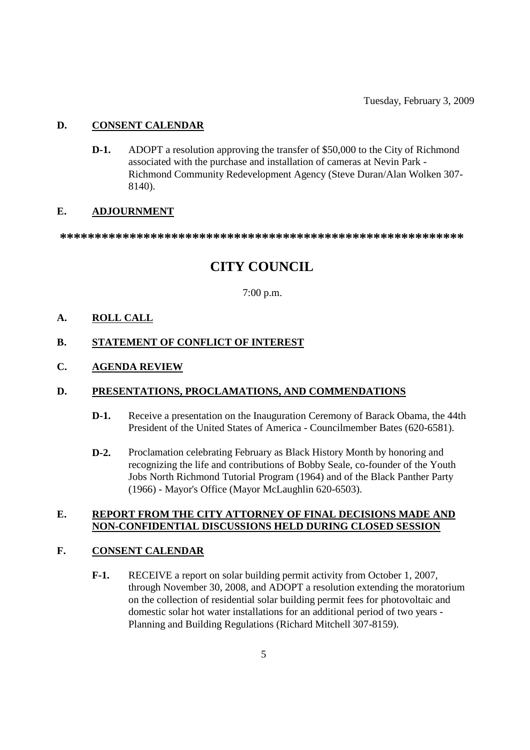#### **D. CONSENT CALENDAR**

**D-1.** ADOPT a resolution approving the transfer of \$50,000 to the City of Richmond associated with the purchase and installation of cameras at Nevin Park - Richmond Community Redevelopment Agency (Steve Duran/Alan Wolken 307- 8140).

#### **E. ADJOURNMENT**

**\*\*\*\*\*\*\*\*\*\*\*\*\*\*\*\*\*\*\*\*\*\*\*\*\*\*\*\*\*\*\*\*\*\*\*\*\*\*\*\*\*\*\*\*\*\*\*\*\*\*\*\*\*\*\*\*\*\***

# **CITY COUNCIL**

7:00 p.m.

#### **A. ROLL CALL**

#### **B. STATEMENT OF CONFLICT OF INTEREST**

#### **C. AGENDA REVIEW**

#### **D. PRESENTATIONS, PROCLAMATIONS, AND COMMENDATIONS**

- **D-1.** Receive a presentation on the Inauguration Ceremony of Barack Obama, the 44th President of the United States of America - Councilmember Bates (620-6581).
- **D-2.** Proclamation celebrating February as Black History Month by honoring and recognizing the life and contributions of Bobby Seale, co-founder of the Youth Jobs North Richmond Tutorial Program (1964) and of the Black Panther Party (1966) - Mayor's Office (Mayor McLaughlin 620-6503).

#### **E. REPORT FROM THE CITY ATTORNEY OF FINAL DECISIONS MADE AND NON-CONFIDENTIAL DISCUSSIONS HELD DURING CLOSED SESSION**

#### **F. CONSENT CALENDAR**

**F-1.** RECEIVE a report on solar building permit activity from October 1, 2007, through November 30, 2008, and ADOPT a resolution extending the moratorium on the collection of residential solar building permit fees for photovoltaic and domestic solar hot water installations for an additional period of two years - Planning and Building Regulations (Richard Mitchell 307-8159).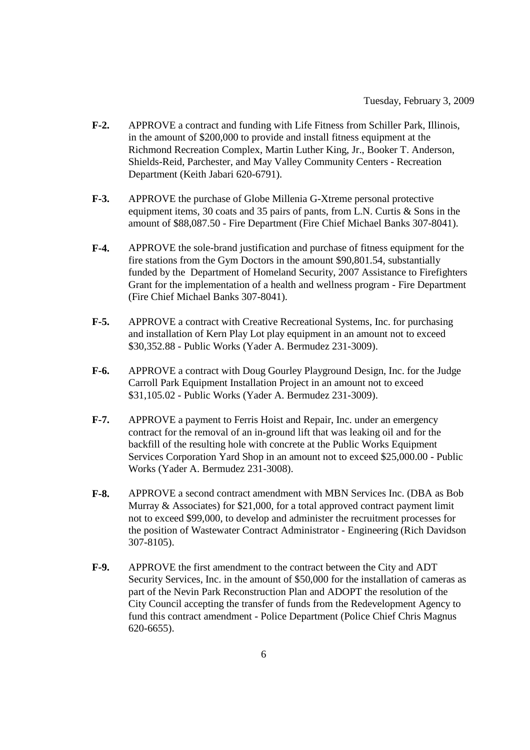- **F-2.** APPROVE a contract and funding with Life Fitness from Schiller Park, Illinois, in the amount of \$200,000 to provide and install fitness equipment at the Richmond Recreation Complex, Martin Luther King, Jr., Booker T. Anderson, Shields-Reid, Parchester, and May Valley Community Centers - Recreation Department (Keith Jabari 620-6791).
- **F-3.** APPROVE the purchase of Globe Millenia G-Xtreme personal protective equipment items, 30 coats and 35 pairs of pants, from L.N. Curtis & Sons in the amount of \$88,087.50 - Fire Department (Fire Chief Michael Banks 307-8041).
- **F-4.** APPROVE the sole-brand justification and purchase of fitness equipment for the fire stations from the Gym Doctors in the amount \$90,801.54, substantially funded by the Department of Homeland Security, 2007 Assistance to Firefighters Grant for the implementation of a health and wellness program - Fire Department (Fire Chief Michael Banks 307-8041).
- **F-5.** APPROVE a contract with Creative Recreational Systems, Inc. for purchasing and installation of Kern Play Lot play equipment in an amount not to exceed \$30,352.88 - Public Works (Yader A. Bermudez 231-3009).
- **F-6.** APPROVE a contract with Doug Gourley Playground Design, Inc. for the Judge Carroll Park Equipment Installation Project in an amount not to exceed \$31,105.02 - Public Works (Yader A. Bermudez 231-3009).
- **F-7.** APPROVE a payment to Ferris Hoist and Repair, Inc. under an emergency contract for the removal of an in-ground lift that was leaking oil and for the backfill of the resulting hole with concrete at the Public Works Equipment Services Corporation Yard Shop in an amount not to exceed \$25,000.00 - Public Works (Yader A. Bermudez 231-3008).
- **F-8.** APPROVE a second contract amendment with MBN Services Inc. (DBA as Bob Murray & Associates) for \$21,000, for a total approved contract payment limit not to exceed \$99,000, to develop and administer the recruitment processes for the position of Wastewater Contract Administrator - Engineering (Rich Davidson 307-8105).
- **F-9.** APPROVE the first amendment to the contract between the City and ADT Security Services, Inc. in the amount of \$50,000 for the installation of cameras as part of the Nevin Park Reconstruction Plan and ADOPT the resolution of the City Council accepting the transfer of funds from the Redevelopment Agency to fund this contract amendment - Police Department (Police Chief Chris Magnus 620-6655).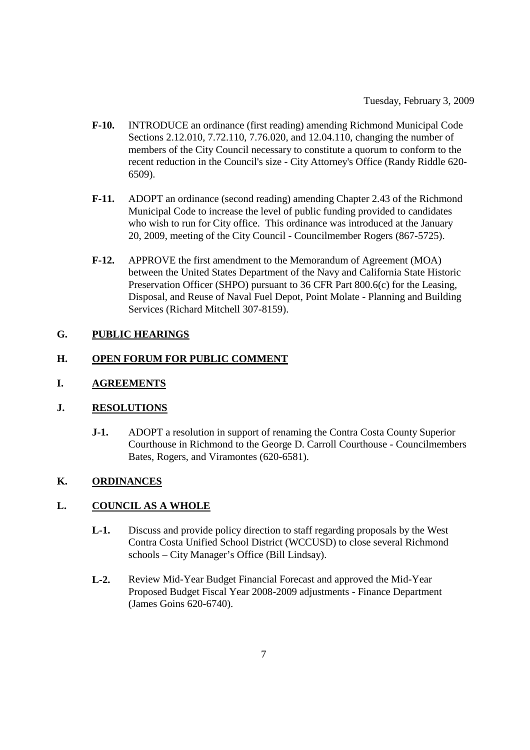- **F-10.** INTRODUCE an ordinance (first reading) amending Richmond Municipal Code Sections 2.12.010, 7.72.110, 7.76.020, and 12.04.110, changing the number of members of the City Council necessary to constitute a quorum to conform to the recent reduction in the Council's size - City Attorney's Office (Randy Riddle 620- 6509).
- **F-11.** ADOPT an ordinance (second reading) amending Chapter 2.43 of the Richmond Municipal Code to increase the level of public funding provided to candidates who wish to run for City office. This ordinance was introduced at the January 20, 2009, meeting of the City Council - Councilmember Rogers (867-5725).
- **F-12.** APPROVE the first amendment to the Memorandum of Agreement (MOA) between the United States Department of the Navy and California State Historic Preservation Officer (SHPO) pursuant to 36 CFR Part 800.6(c) for the Leasing, Disposal, and Reuse of Naval Fuel Depot, Point Molate - Planning and Building Services (Richard Mitchell 307-8159).

### **G. PUBLIC HEARINGS**

#### **H. OPEN FORUM FOR PUBLIC COMMENT**

#### **I. AGREEMENTS**

#### **J. RESOLUTIONS**

**J-1.** ADOPT a resolution in support of renaming the Contra Costa County Superior Courthouse in Richmond to the George D. Carroll Courthouse - Councilmembers Bates, Rogers, and Viramontes (620-6581).

#### **K. ORDINANCES**

#### **L. COUNCIL AS A WHOLE**

- **L-1.** Discuss and provide policy direction to staff regarding proposals by the West Contra Costa Unified School District (WCCUSD) to close several Richmond schools – City Manager's Office (Bill Lindsay).
- **L-2.** Review Mid-Year Budget Financial Forecast and approved the Mid-Year Proposed Budget Fiscal Year 2008-2009 adjustments - Finance Department (James Goins 620-6740).